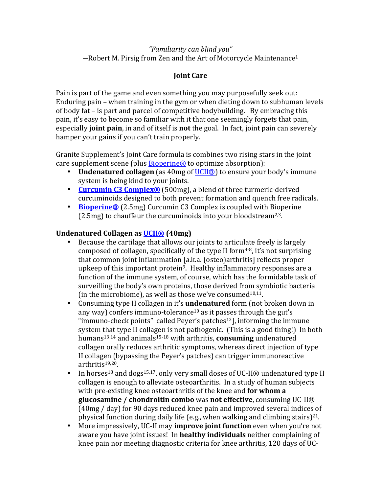### *"Familiarity can blind you"*  $-$ Robert M. Pirsig from Zen and the Art of Motorcycle Maintenance<sup>1</sup>

# **Joint Care**

Pain is part of the game and even something you may purposefully seek out: Enduring pain – when training in the gym or when dieting down to subhuman levels of body fat  $-$  is part and parcel of competitive bodybuilding. By embracing this pain, it's easy to become so familiar with it that one seemingly forgets that pain, especially **joint pain**, in and of itself is **not** the goal. In fact, joint pain can severely hamper your gains if you can't train properly.

Granite Supplement's Joint Care formula is combines two rising stars in the joint care supplement scene (plus  $\frac{\text{Bioperine@}}{\text{E}}$  to optimize absorption):

- **Undenatured collagen** (as 40 mg of UCII®) to ensure your body's immune system is being kind to your joints.
- **Curcumin C3 Complex®** (500mg), a blend of three turmeric-derived curcuminoids designed to both prevent formation and quench free radicals.
- **Bioperine®** (2.5mg) Curcumin C3 Complex is coupled with Bioperine  $(2.5mg)$  to chauffeur the curcuminoids into your bloodstream<sup>2,3</sup>.

#### **Undenatured Collagen as UCII® (40mg)**

- Because the cartilage that allows our joints to articulate freely is largely composed of collagen, specifically of the type II form $4-8$ , it's not surprising that common joint inflammation [a.k.a. (osteo)arthritis] reflects proper upkeep of this important protein<sup>9</sup>. Healthy inflammatory responses are a function of the immune system, of course, which has the formidable task of surveilling the body's own proteins, those derived from symbiotic bacteria (in the microbiome), as well as those we've consumed $10,11$ .
- Consuming type II collagen in it's **undenatured** form (not broken down in any way) confers immuno-tolerance<sup>10</sup> as it passes through the gut's "immuno-check points" called Peyer's patches<sup>12</sup>, informing the immune system that type II collagen is not pathogenic. (This is a good thing!) In both humans<sup>13,14</sup> and animals<sup>15-18</sup> with arthritis, **consuming** undenatured collagen orally reduces arthritic symptoms, whereas direct injection of type II collagen (bypassing the Peyer's patches) can trigger immunoreactive arthritis19,20.
- In horses<sup>18</sup> and dogs<sup>15,17</sup>, only very small doses of UC-II<sup>®</sup> undenatured type II collagen is enough to alleviate osteoarthritis. In a study of human subjects with pre-existing knee osteoarthritis of the knee and **for whom a glucosamine** / **chondroitin combo** was **not effective**, consuming UC-II®  $(40mg / day)$  for 90 days reduced knee pain and improved several indices of physical function during daily life (e.g., when walking and climbing stairs)<sup>21</sup>.
- More impressively, UC-II may **improve joint function** even when you're not aware you have joint issues! In **healthy individuals** neither complaining of knee pain nor meeting diagnostic criteria for knee arthritis, 120 days of UC-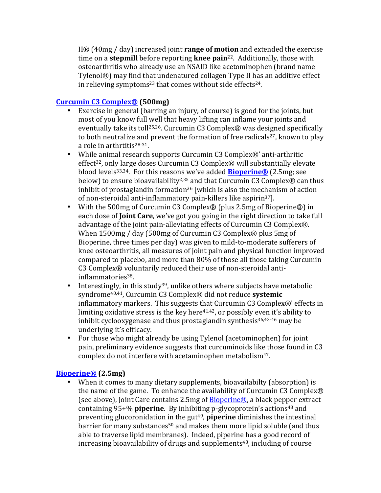II<sup>®</sup> (40mg / day) increased joint **range of motion** and extended the exercise time on a **stepmill** before reporting **knee pain**<sup>22</sup>. Additionally, those with osteoarthritis who already use an NSAID like acetominophen (brand name Tylenol®) may find that undenatured collagen Type II has an additive effect in relieving symptoms<sup>23</sup> that comes without side effects<sup>24</sup>.

### **Curcumin C3 Complex® (500mg)**

- Exercise in general (barring an injury, of course) is good for the joints, but most of you know full well that heavy lifting can inflame your joints and eventually take its toll<sup>25,26</sup>. Curcumin C3 Complex® was designed specifically to both neutralize and prevent the formation of free radicals<sup>27</sup>, known to play a role in arthrtitis<sup>28-31</sup>.
- While animal research supports Curcumin C3 Complex®' anti-arthritic effect<sup>32</sup>, only large doses Curcumin C3 Complex<sup>®</sup> will substantially elevate blood levels<sup>33,34</sup>. For this reasons we've added **Bioperine®** (2.5mg; see below) to ensure bioavailability<sup>2,35</sup> and that Curcumin C3 Complex® can thus inhibit of prostaglandin formation<sup>36</sup> [which is also the mechanism of action of non-steroidal anti-inflammatory pain-killers like aspirin<sup>37</sup>].
- With the 500mg of Curcumin C3 Complex® (plus 2.5mg of Bioperine®) in each dose of **Joint Care**, we've got you going in the right direction to take full advantage of the joint pain-alleviating effects of Curcumin C3 Complex®. When  $1500$ mg / day (500mg of Curcumin C3 Complex® plus 5mg of Bioperine, three times per day) was given to mild-to-moderate sufferers of knee osteoarthritis, all measures of joint pain and physical function improved compared to placebo, and more than 80% of those all those taking Curcumin C3 Complex® voluntarily reduced their use of non-steroidal antiinflammatories38.
- Interestingly, in this study<sup>39</sup>, unlike others where subjects have metabolic syndrome<sup>40,41</sup>, Curcumin C3 Complex<sup>®</sup> did not reduce **systemic** inflammatory markers. This suggests that  $C$ urcumin  $C_3$  Complex $\otimes$ ' effects in limiting oxidative stress is the key here<sup>41,42</sup>, or possibly even it's ability to inhibit cyclooxygenase and thus prostaglandin synthesis $36,43-46$  may be underlying it's efficacy.
- For those who might already be using Tylenol (acetominophen) for joint pain, preliminary evidence suggests that curcuminoids like those found in C3 complex do not interfere with acetaminophen metabolism<sup>47</sup>.

### **Bioperine® (2.5mg)**

• When it comes to many dietary supplements, bioavailabilty (absorption) is the name of the game. To enhance the availability of Curcumin  $C_3$  Complex $\circledR$ (see above), Joint Care contains 2.5mg of  $Bioperine@$ , a black pepper extract containing 95+% **piperine**. By inhibiting p-glycoprotein's actions<sup>48</sup> and preventing glucoronidation in the gut<sup>49</sup>, **piperine** diminishes the intestinal barrier for many substances<sup>50</sup> and makes them more lipid soluble (and thus able to traverse lipid membranes). Indeed, piperine has a good record of increasing bioavailability of drugs and supplements<sup>48</sup>, including of course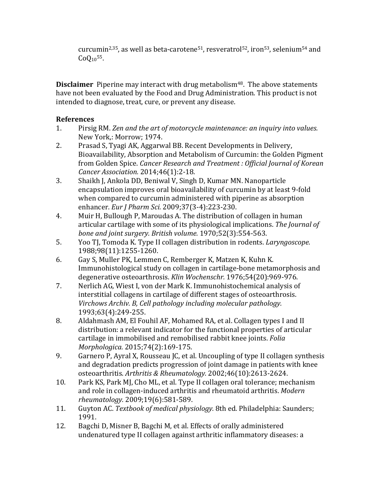curcumin<sup>2,35</sup>, as well as beta-carotene<sup>51</sup>, resveratrol<sup>52</sup>, iron<sup>53</sup>, selenium<sup>54</sup> and  $CoQ_{10}^{55}$ .

**Disclaimer** Piperine may interact with drug metabolism<sup>48</sup>. The above statements have not been evaluated by the Food and Drug Administration. This product is not intended to diagnose, treat, cure, or prevent any disease.

# **References**

- 1. Pirsig RM. Zen and the art of motorcycle maintenance: an inquiry into values. New York,: Morrow; 1974.
- 2. Prasad S, Tyagi AK, Aggarwal BB. Recent Developments in Delivery, Bioavailability, Absorption and Metabolism of Curcumin: the Golden Pigment from Golden Spice. *Cancer Research and Treatment : Official Journal of Korean Cancer Association.* 2014;46(1):2-18.
- 3. Shaikh J, Ankola DD, Beniwal V, Singh D, Kumar MN. Nanoparticle encapsulation improves oral bioavailability of curcumin by at least 9-fold when compared to curcumin administered with piperine as absorption enhancer. *Eur J Pharm Sci.* 2009;37(3-4):223-230.
- 4. Muir H, Bullough P, Maroudas A. The distribution of collagen in human articular cartilage with some of its physiological implications. The Journal of *bone and joint surgery. British volume.* 1970;52(3):554-563.
- 5. Yoo TJ, Tomoda K. Type II collagen distribution in rodents. *Laryngoscope.* 1988;98(11):1255-1260.
- 6. Gay S, Muller PK, Lemmen C, Remberger K, Matzen K, Kuhn K. Immunohistological study on collagen in cartilage-bone metamorphosis and degenerative osteoarthrosis. *Klin Wochenschr.* 1976;54(20):969-976.
- 7. Nerlich AG, Wiest I, von der Mark K. Immunohistochemical analysis of interstitial collagens in cartilage of different stages of osteoarthrosis. *Virchows Archiv. B, Cell pathology including molecular pathology.* 1993;63(4):249-255.
- 8. Aldahmash AM, El Fouhil AF, Mohamed RA, et al. Collagen types I and II distribution: a relevant indicator for the functional properties of articular cartilage in immobilised and remobilised rabbit knee joints. *Folia Morphologica.* 2015;74(2):169-175.
- 9. Garnero P, Ayral X, Rousseau JC, et al. Uncoupling of type II collagen synthesis and degradation predicts progression of joint damage in patients with knee osteoarthritis. *Arthritis & Rheumatology.* 2002;46(10):2613-2624.
- 10. Park KS, Park MJ, Cho ML, et al. Type II collagen oral tolerance; mechanism and role in collagen-induced arthritis and rheumatoid arthritis. *Modern rheumatology.* 2009;19(6):581-589.
- 11. Guyton AC. *Textbook of medical physiology.* 8th ed. Philadelphia: Saunders; 1991.
- 12. Bagchi D, Misner B, Bagchi M, et al. Effects of orally administered undenatured type II collagen against arthritic inflammatory diseases: a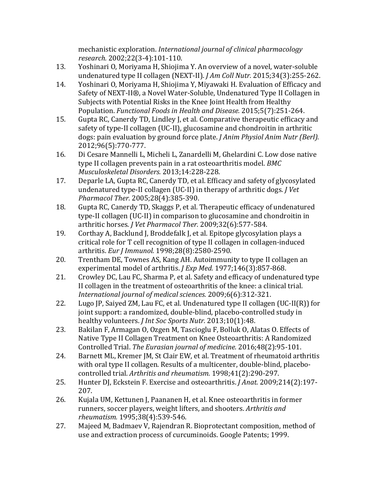mechanistic exploration. *International journal of clinical pharmacology research.* 2002;22(3-4):101-110.

- 13. Yoshinari O, Moriyama H, Shiojima Y. An overview of a novel, water-soluble undenatured type II collagen (NEXT-II). *J Am Coll Nutr.* 2015;34(3):255-262.
- 14. Yoshinari O, Moriyama H, Shiojima Y, Miyawaki H. Evaluation of Efficacy and Safety of NEXT-II®, a Novel Water-Soluble, Undenatured Type II Collagen in Subjects with Potential Risks in the Knee Joint Health from Healthy Population. *Functional Foods in Health and Disease.* 2015;5(7):251-264.
- 15. Gupta RC, Canerdy TD, Lindley J, et al. Comparative therapeutic efficacy and safety of type-II collagen (UC-II), glucosamine and chondroitin in arthritic dogs: pain evaluation by ground force plate. *J Anim Physiol Anim Nutr (Berl).* 2012;96(5):770-777.
- 16. Di Cesare Mannelli L, Micheli L, Zanardelli M, Ghelardini C. Low dose native type II collagen prevents pain in a rat osteoarthritis model. *BMC Musculoskeletal Disorders.* 2013;14:228-228.
- 17. Deparle LA, Gupta RC, Canerdy TD, et al. Efficacy and safety of glycosylated undenatured type-II collagen (UC-II) in therapy of arthritic dogs. *J Vet Pharmacol Ther.* 2005;28(4):385-390.
- 18. Gupta RC, Canerdy TD, Skaggs P, et al. Therapeutic efficacy of undenatured type-II collagen (UC-II) in comparison to glucosamine and chondroitin in arthritic horses. *J Vet Pharmacol Ther.* 2009;32(6):577-584.
- 19. Corthay A, Backlund J, Broddefalk J, et al. Epitope glycosylation plays a critical role for T cell recognition of type II collagen in collagen-induced arthritis. *Eur J Immunol.* 1998;28(8):2580-2590.
- 20. Trentham DE, Townes AS, Kang AH. Autoimmunity to type II collagen an experimental model of arthritis. *J Exp Med.* 1977;146(3):857-868.
- 21. Crowley DC, Lau FC, Sharma P, et al. Safety and efficacy of undenatured type II collagen in the treatment of osteoarthritis of the knee: a clinical trial. *International journal of medical sciences.* 2009;6(6):312-321.
- 22. Lugo JP, Saiyed ZM, Lau FC, et al. Undenatured type II collagen  $(UC-II(R))$  for joint support: a randomized, double-blind, placebo-controlled study in healthy volunteers. *J Int Soc Sports Nutr.* 2013;10(1):48.
- 23. Bakilan F, Armagan O, Ozgen M, Tascioglu F, Bolluk O, Alatas O. Effects of Native Type II Collagen Treatment on Knee Osteoarthritis: A Randomized Controlled Trial. The Eurasian journal of medicine. 2016;48(2):95-101.
- 24. Barnett ML, Kremer JM, St Clair EW, et al. Treatment of rheumatoid arthritis with oral type II collagen. Results of a multicenter, double-blind, placebocontrolled trial. Arthritis and rheumatism. 1998;41(2):290-297.
- 25. Hunter DJ, Eckstein F. Exercise and osteoarthritis. *J Anat.* 2009;214(2):197-207.
- 26. Kujala UM, Kettunen J, Paananen H, et al. Knee osteoarthritis in former runners, soccer players, weight lifters, and shooters. Arthritis and *rheumatism.* 1995;38(4):539-546.
- 27. Majeed M, Badmaev V, Rajendran R. Bioprotectant composition, method of use and extraction process of curcuminoids. Google Patents; 1999.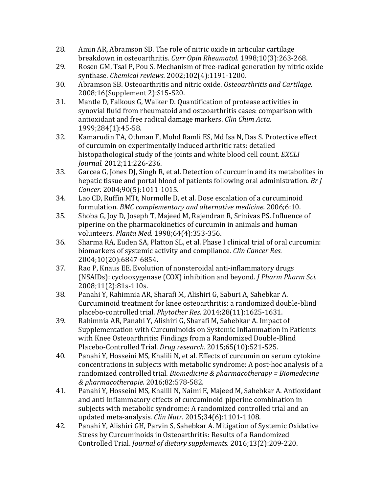- 28. Amin AR, Abramson SB. The role of nitric oxide in articular cartilage breakdown in osteoarthritis. Curr Opin Rheumatol. 1998;10(3):263-268.
- 29. Rosen GM, Tsai P, Pou S. Mechanism of free-radical generation by nitric oxide synthase. *Chemical reviews.* 2002;102(4):1191-1200.
- 30. Abramson SB. Osteoarthritis and nitric oxide. *Osteoarthritis and Cartilage.* 2008:16(Supplement 2):S15-S20.
- 31. Mantle D, Falkous G, Walker D. Quantification of protease activities in synovial fluid from rheumatoid and osteoarthritis cases: comparison with antioxidant and free radical damage markers. *Clin Chim Acta.* 1999;284(1):45-58.
- 32. Kamarudin TA, Othman F, Mohd Ramli ES, Md Isa N, Das S. Protective effect of curcumin on experimentally induced arthritic rats: detailed histopathological study of the joints and white blood cell count. *EXCLI Journal.* 2012;11:226-236.
- 33. Garcea G, Jones DI, Singh R, et al. Detection of curcumin and its metabolites in hepatic tissue and portal blood of patients following oral administration. *Br J Cancer.* 2004;90(5):1011-1015.
- 34. Lao CD, Ruffin MTt, Normolle D, et al. Dose escalation of a curcuminoid formulation. *BMC* complementary and alternative medicine. 2006;6:10.
- 35. Shoba G, Joy D, Joseph T, Majeed M, Rajendran R, Srinivas PS. Influence of piperine on the pharmacokinetics of curcumin in animals and human volunteers. *Planta Med.* 1998;64(4):353-356.
- 36. Sharma RA, Euden SA, Platton SL, et al. Phase I clinical trial of oral curcumin: biomarkers of systemic activity and compliance. *Clin Cancer Res.* 2004;10(20):6847-6854.
- 37. Rao P, Knaus EE. Evolution of nonsteroidal anti-inflammatory drugs (NSAIDs): cyclooxygenase (COX) inhibition and beyond. *J Pharm Pharm Sci.* 2008;11(2):81s-110s.
- 38. Panahi Y, Rahimnia AR, Sharafi M, Alishiri G, Saburi A, Sahebkar A. Curcuminoid treatment for knee osteoarthritis: a randomized double-blind placebo-controlled trial. *Phytother Res.* 2014;28(11):1625-1631.
- 39. Rahimnia AR, Panahi Y, Alishiri G, Sharafi M, Sahebkar A. Impact of Supplementation with Curcuminoids on Systemic Inflammation in Patients with Knee Osteoarthritis: Findings from a Randomized Double-Blind Placebo-Controlled Trial. *Drug research.* 2015;65(10):521-525.
- 40. Panahi Y, Hosseini MS, Khalili N, et al. Effects of curcumin on serum cytokine concentrations in subjects with metabolic syndrome: A post-hoc analysis of a randomized controlled trial. *Biomedicine & pharmacotherapy* = *Biomedecine & pharmacotherapie.* 2016;82:578-582.
- 41. Panahi Y, Hosseini MS, Khalili N, Naimi E, Majeed M, Sahebkar A. Antioxidant and anti-inflammatory effects of curcuminoid-piperine combination in subjects with metabolic syndrome: A randomized controlled trial and an updated meta-analysis. *Clin Nutr.* 2015;34(6):1101-1108.
- 42. Panahi Y, Alishiri GH, Parvin S, Sahebkar A. Mitigation of Systemic Oxidative Stress by Curcuminoids in Osteoarthritis: Results of a Randomized Controlled Trial. *Journal of dietary supplements.* 2016;13(2):209-220.